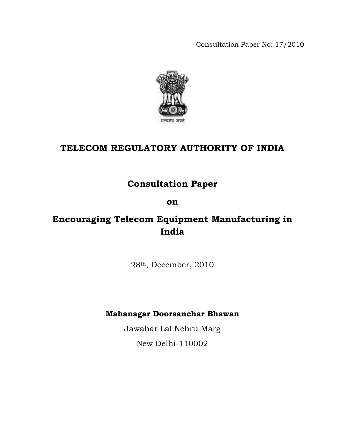Consultation Paper No: 17/2010



# **TELECOM REGULATORY AUTHORITY OF INDIA**

# **Consultation Paper**

# **on**

# **Encouraging Telecom Equipment Manufacturing in India**

28th, December, 2010

# **Mahanagar Doorsanchar Bhawan**

Jawahar Lal Nehru Marg

New Delhi-110002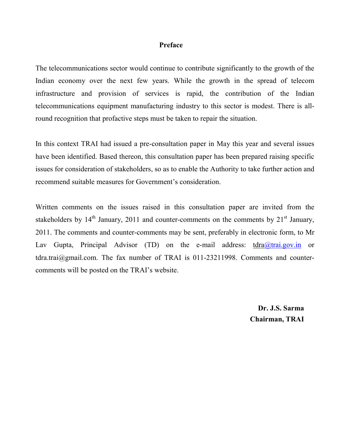## **Preface**

The telecommunications sector would continue to contribute significantly to the growth of the Indian economy over the next few years. While the growth in the spread of telecom infrastructure and provision of services is rapid, the contribution of the Indian telecommunications equipment manufacturing industry to this sector is modest. There is allround recognition that profactive steps must be taken to repair the situation.

In this context TRAI had issued a pre-consultation paper in May this year and several issues have been identified. Based thereon, this consultation paper has been prepared raising specific issues for consideration of stakeholders, so as to enable the Authority to take further action and recommend suitable measures for Government's consideration.

Written comments on the issues raised in this consultation paper are invited from the stakeholders by  $14<sup>th</sup>$  January, 2011 and counter-comments on the comments by  $21<sup>st</sup>$  January, 2011. The comments and counter-comments may be sent, preferably in electronic form, to Mr Lav Gupta, Principal Advisor (TD) on the e-mail address: tdra@trai.gov.in or  $tdra.train@gmail.com$ . The fax number of TRAI is 011-23211998. Comments and countercomments will be posted on the TRAI's website.

> **Dr. J.S. Sarma Chairman, TRAI**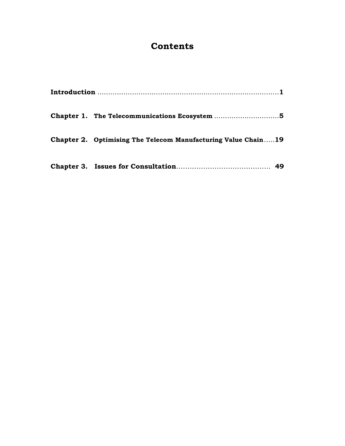# **Contents**

| Chapter 1. The Telecommunications Ecosystem 5                 |
|---------------------------------------------------------------|
| Chapter 2. Optimising The Telecom Manufacturing Value Chain19 |
|                                                               |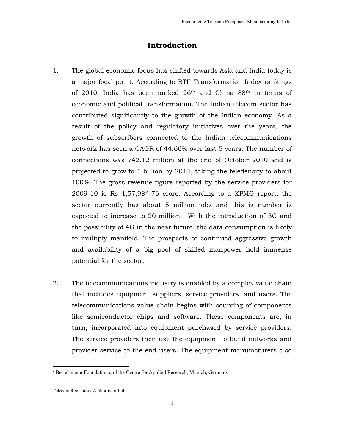# **Introduction**

- 1. The global economic focus has shifted towards Asia and India today is a major focal point. According to BTI<sup>1</sup> Transformation Index rankings of 2010, India has been ranked 26th and China 88th in terms of economic and political transformation. The Indian telecom sector has contributed significantly to the growth of the Indian economy. As a result of the policy and regulatory initiatives over the years, the growth of subscribers connected to the Indian telecommunications network has seen a CAGR of 44.66% over last 5 years. The number of connections was 742.12 million at the end of October 2010 and is projected to grow to 1 billion by 2014, taking the teledensity to about 100%. The gross revenue figure reported by the service providers for 2009-10 is Rs 1,57,984.76 crore. According to a KPMG report, the sector currently has about 5 million jobs and this is number is expected to increase to 20 million. With the introduction of 3G and the possibility of 4G in the near future, the data consumption is likely to multiply manifold. The prospects of continued aggressive growth and availability of a big pool of skilled manpower hold immense potential for the sector.
- 2. The telecommunications industry is enabled by a complex value chain that includes equipment suppliers, service providers, and users. The telecommunications value chain begins with sourcing of components like semiconductor chips and software. These components are, in turn, incorporated into equipment purchased by service providers. The service providers then use the equipment to build networks and provider service to the end users. The equipment manufacturers also

l,

<sup>&</sup>lt;sup>1</sup> Bertelsmann Foundation and the Centre for Applied Research, Munich, Germany

Telecom Regulatory Authority of India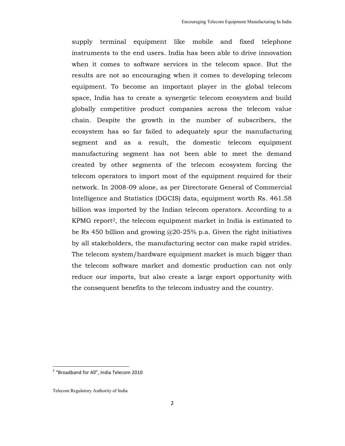supply terminal equipment like mobile and fixed telephone instruments to the end users. India has been able to drive innovation when it comes to software services in the telecom space. But the results are not so encouraging when it comes to developing telecom equipment. To become an important player in the global telecom space, India has to create a synergetic telecom ecosystem and build globally competitive product companies across the telecom value chain. Despite the growth in the number of subscribers, the ecosystem has so far failed to adequately spur the manufacturing segment and as a result, the domestic telecom equipment manufacturing segment has not been able to meet the demand created by other segments of the telecom ecosystem forcing the telecom operators to import most of the equipment required for their network. In 2008-09 alone, as per Directorate General of Commercial Intelligence and Statistics (DGCIS) data, equipment worth Rs. 461.58 billion was imported by the Indian telecom operators. According to a KPMG report2, the telecom equipment market in India is estimated to be Rs 450 billion and growing  $@20-25\%$  p.a. Given the right initiatives by all stakeholders, the manufacturing sector can make rapid strides. The telecom system/hardware equipment market is much bigger than the telecom software market and domestic production can not only reduce our imports, but also create a large export opportunity with the consequent benefits to the telecom industry and the country.

l,

<sup>&</sup>lt;sup>2</sup> "Broadband for All", India Telecom 2010

Telecom Regulatory Authority of India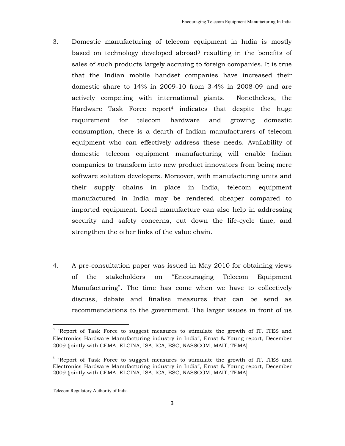- 3. Domestic manufacturing of telecom equipment in India is mostly based on technology developed abroad<sup>3</sup> resulting in the benefits of sales of such products largely accruing to foreign companies. It is true that the Indian mobile handset companies have increased their domestic share to 14% in 2009-10 from 3-4% in 2008-09 and are actively competing with international giants. Nonetheless, the Hardware Task Force report4 indicates that despite the huge requirement for telecom hardware and growing domestic consumption, there is a dearth of Indian manufacturers of telecom equipment who can effectively address these needs. Availability of domestic telecom equipment manufacturing will enable Indian companies to transform into new product innovators from being mere software solution developers. Moreover, with manufacturing units and their supply chains in place in India, telecom equipment manufactured in India may be rendered cheaper compared to imported equipment. Local manufacture can also help in addressing security and safety concerns, cut down the life-cycle time, and strengthen the other links of the value chain.
- 4. A pre-consultation paper was issued in May 2010 for obtaining views of the stakeholders on "Encouraging Telecom Equipment Manufacturing". The time has come when we have to collectively discuss, debate and finalise measures that can be send as recommendations to the government. The larger issues in front of us

 $\overline{a}$ 

<sup>&</sup>lt;sup>3</sup> "Report of Task Force to suggest measures to stimulate the growth of IT, ITES and Electronics Hardware Manufacturing industry in India", Ernst & Young report, December 2009 (jointly with CEMA, ELCINA, ISA, ICA, ESC, NASSCOM, MAIT, TEMA)

<sup>&</sup>lt;sup>4</sup> "Report of Task Force to suggest measures to stimulate the growth of IT, ITES and Electronics Hardware Manufacturing industry in India", Ernst & Young report, December 2009 (jointly with CEMA, ELCINA, ISA, ICA, ESC, NASSCOM, MAIT, TEMA)

Telecom Regulatory Authority of India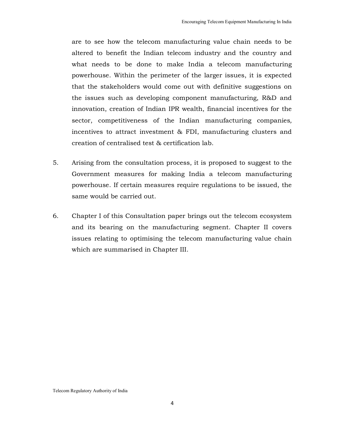are to see how the telecom manufacturing value chain needs to be altered to benefit the Indian telecom industry and the country and what needs to be done to make India a telecom manufacturing powerhouse. Within the perimeter of the larger issues, it is expected that the stakeholders would come out with definitive suggestions on the issues such as developing component manufacturing, R&D and innovation, creation of Indian IPR wealth, financial incentives for the sector, competitiveness of the Indian manufacturing companies, incentives to attract investment & FDI, manufacturing clusters and creation of centralised test & certification lab.

- 5. Arising from the consultation process, it is proposed to suggest to the Government measures for making India a telecom manufacturing powerhouse. If certain measures require regulations to be issued, the same would be carried out.
- 6. Chapter I of this Consultation paper brings out the telecom ecosystem and its bearing on the manufacturing segment. Chapter II covers issues relating to optimising the telecom manufacturing value chain which are summarised in Chapter III.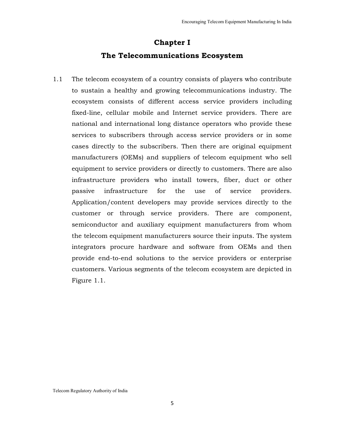# **Chapter I The Telecommunications Ecosystem**

1.1 The telecom ecosystem of a country consists of players who contribute to sustain a healthy and growing telecommunications industry. The ecosystem consists of different access service providers including fixed-line, cellular mobile and Internet service providers. There are national and international long distance operators who provide these services to subscribers through access service providers or in some cases directly to the subscribers. Then there are original equipment manufacturers (OEMs) and suppliers of telecom equipment who sell equipment to service providers or directly to customers. There are also infrastructure providers who install towers, fiber, duct or other passive infrastructure for the use of service providers. Application/content developers may provide services directly to the customer or through service providers. There are component, semiconductor and auxiliary equipment manufacturers from whom the telecom equipment manufacturers source their inputs. The system integrators procure hardware and software from OEMs and then provide end-to-end solutions to the service providers or enterprise customers. Various segments of the telecom ecosystem are depicted in Figure 1.1.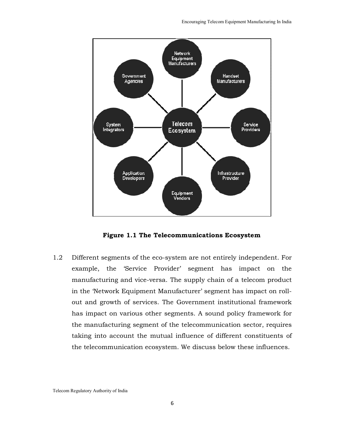

**Figure 1.1 The Telecommunications Ecosystem**

1.2 Different segments of the eco-system are not entirely independent. For example, the 'Service Provider' segment has impact on the manufacturing and vice-versa. The supply chain of a telecom product in the 'Network Equipment Manufacturer' segment has impact on rollout and growth of services. The Government institutional framework has impact on various other segments. A sound policy framework for the manufacturing segment of the telecommunication sector, requires taking into account the mutual influence of different constituents of the telecommunication ecosystem. We discuss below these influences.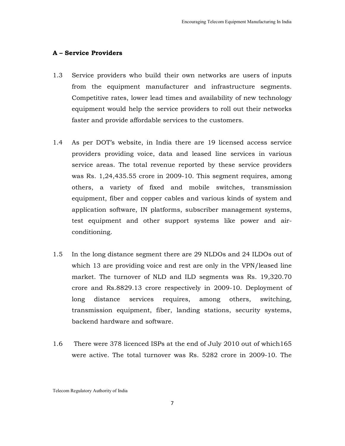# **A – Service Providers**

- 1.3 Service providers who build their own networks are users of inputs from the equipment manufacturer and infrastructure segments. Competitive rates, lower lead times and availability of new technology equipment would help the service providers to roll out their networks faster and provide affordable services to the customers.
- 1.4 As per DOT's website, in India there are 19 licensed access service providers providing voice, data and leased line services in various service areas. The total revenue reported by these service providers was Rs. 1,24,435.55 crore in 2009-10. This segment requires, among others, a variety of fixed and mobile switches, transmission equipment, fiber and copper cables and various kinds of system and application software, IN platforms, subscriber management systems, test equipment and other support systems like power and airconditioning.
- 1.5 In the long distance segment there are 29 NLDOs and 24 ILDOs out of which 13 are providing voice and rest are only in the VPN/leased line market. The turnover of NLD and ILD segments was Rs. 19,320.70 crore and Rs.8829.13 crore respectively in 2009-10. Deployment of long distance services requires, among others, switching, transmission equipment, fiber, landing stations, security systems, backend hardware and software.
- 1.6 There were 378 licenced ISPs at the end of July 2010 out of which165 were active. The total turnover was Rs. 5282 crore in 2009-10. The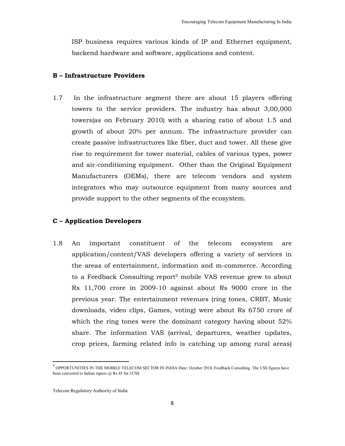ISP business requires various kinds of IP and Ethernet equipment, backend hardware and software, applications and content.

#### **B – Infrastructure Providers**

1.7 In the infrastructure segment there are about 15 players offering towers to the service providers. The industry has about 3,00,000 towers(as on February 2010) with a sharing ratio of about 1.5 and growth of about 20% per annum. The infrastructure provider can create passive infrastructures like fiber, duct and tower. All these give rise to requirement for tower material, cables of various types, power and air-conditioning equipment. Other than the Original Equipment Manufacturers (OEMs), there are telecom vendors and system integrators who may outsource equipment from many sources and provide support to the other segments of the ecosystem.

### **C – Application Developers**

1.8 An important constituent of the telecom ecosystem are application/content/VAS developers offering a variety of services in the areas of entertainment, information and m-commerce. According to a Feedback Consulting report<sup>5</sup> mobile VAS revenue grew to about Rs 11,700 crore in 2009-10 against about Rs 9000 crore in the previous year. The entertainment revenues (ring tones, CRBT, Music downloads, video clips, Games, voting) were about Rs 6750 crore of which the ring tones were the dominant category having about 52% share. The information VAS (arrival, departures, weather updates, crop prices, farming related info is catching up among rural areas)

<u>.</u>

<sup>&</sup>lt;sup>5</sup> OPPORTUNITIES IN THE MOBILE TELECOM SECTOR IN INDIA Date: October 2010, Feedback Consulting. The US\$ figures have been converted to Indian rupees  $(a)$  Rs 45 for 1US\$

Telecom Regulatory Authority of India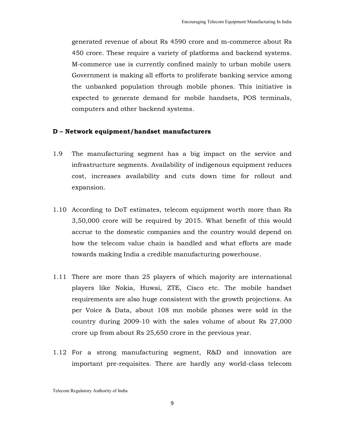generated revenue of about Rs 4590 crore and m-commerce about Rs 450 crore. These require a variety of platforms and backend systems. M-commerce use is currently confined mainly to urban mobile users. Government is making all efforts to proliferate banking service among the unbanked population through mobile phones. This initiative is expected to generate demand for mobile handsets, POS terminals, computers and other backend systems.

### **D – Network equipment/handset manufacturers**

- 1.9 The manufacturing segment has a big impact on the service and infrastructure segments. Availability of indigenous equipment reduces cost, increases availability and cuts down time for rollout and expansion.
- 1.10 According to DoT estimates, telecom equipment worth more than Rs 3,50,000 crore will be required by 2015. What benefit of this would accrue to the domestic companies and the country would depend on how the telecom value chain is handled and what efforts are made towards making India a credible manufacturing powerhouse.
- 1.11 There are more than 25 players of which majority are international players like Nokia, Huwai, ZTE, Cisco etc. The mobile handset requirements are also huge consistent with the growth projections. As per Voice & Data, about 108 mn mobile phones were sold in the country during 2009-10 with the sales volume of about Rs 27,000 crore up from about Rs 25,650 crore in the previous year.
- 1.12 For a strong manufacturing segment, R&D and innovation are important pre-requisites. There are hardly any world-class telecom

Telecom Regulatory Authority of India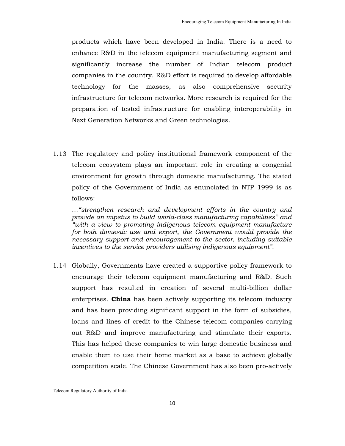products which have been developed in India. There is a need to enhance R&D in the telecom equipment manufacturing segment and significantly increase the number of Indian telecom product companies in the country. R&D effort is required to develop affordable technology for the masses, as also comprehensive security infrastructure for telecom networks. More research is required for the preparation of tested infrastructure for enabling interoperability in Next Generation Networks and Green technologies.

1.13 The regulatory and policy institutional framework component of the telecom ecosystem plays an important role in creating a congenial environment for growth through domestic manufacturing. The stated policy of the Government of India as enunciated in NTP 1999 is as follows:

*…"strengthen research and development efforts in the country and provide an impetus to build world-class manufacturing capabilities" and "with a view to promoting indigenous telecom equipment manufacture for both domestic use and export, the Government would provide the necessary support and encouragement to the sector, including suitable incentives to the service providers utilising indigenous equipment".* 

1.14 Globally, Governments have created a supportive policy framework to encourage their telecom equipment manufacturing and R&D. Such support has resulted in creation of several multi-billion dollar enterprises. **China** has been actively supporting its telecom industry and has been providing significant support in the form of subsidies, loans and lines of credit to the Chinese telecom companies carrying out R&D and improve manufacturing and stimulate their exports. This has helped these companies to win large domestic business and enable them to use their home market as a base to achieve globally competition scale. The Chinese Government has also been pro-actively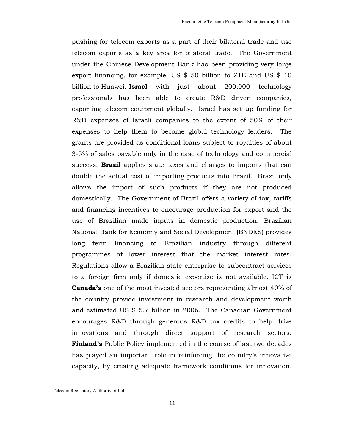pushing for telecom exports as a part of their bilateral trade and use telecom exports as a key area for bilateral trade. The Government under the Chinese Development Bank has been providing very large export financing, for example, US \$ 50 billion to ZTE and US \$ 10 billion to Huawei. **Israel** with just about 200,000 technology professionals has been able to create R&D driven companies, exporting telecom equipment globally. Israel has set up funding for R&D expenses of Israeli companies to the extent of 50% of their expenses to help them to become global technology leaders. The grants are provided as conditional loans subject to royalties of about 3-5% of sales payable only in the case of technology and commercial success. **Brazil** applies state taxes and charges to imports that can double the actual cost of importing products into Brazil. Brazil only allows the import of such products if they are not produced domestically. The Government of Brazil offers a variety of tax, tariffs and financing incentives to encourage production for export and the use of Brazilian made inputs in domestic production. Brazilian National Bank for Economy and Social Development (BNDES) provides long term financing to Brazilian industry through different programmes at lower interest that the market interest rates. Regulations allow a Brazilian state enterprise to subcontract services to a foreign firm only if domestic expertise is not available. ICT is **Canada's** one of the most invested sectors representing almost 40% of the country provide investment in research and development worth and estimated US \$ 5.7 billion in 2006. The Canadian Government encourages R&D through generous R&D tax credits to help drive innovations and through direct support of research sectors**. Finland's** Public Policy implemented in the course of last two decades has played an important role in reinforcing the country's innovative capacity, by creating adequate framework conditions for innovation.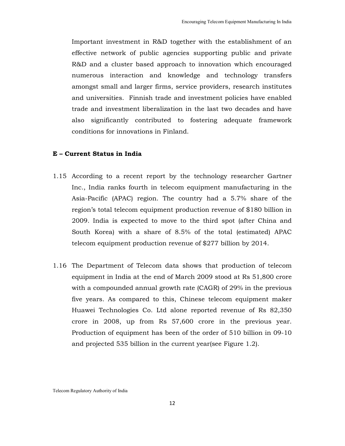Important investment in R&D together with the establishment of an effective network of public agencies supporting public and private R&D and a cluster based approach to innovation which encouraged numerous interaction and knowledge and technology transfers amongst small and larger firms, service providers, research institutes and universities. Finnish trade and investment policies have enabled trade and investment liberalization in the last two decades and have also significantly contributed to fostering adequate framework conditions for innovations in Finland.

### **E – Current Status in India**

- 1.15 According to a recent report by the technology researcher Gartner Inc., India ranks fourth in telecom equipment manufacturing in the Asia-Pacific (APAC) region. The country had a 5.7% share of the region's total telecom equipment production revenue of \$180 billion in 2009. India is expected to move to the third spot (after China and South Korea) with a share of 8.5% of the total (estimated) APAC telecom equipment production revenue of \$277 billion by 2014.
- 1.16 The Department of Telecom data shows that production of telecom equipment in India at the end of March 2009 stood at Rs 51,800 crore with a compounded annual growth rate (CAGR) of 29% in the previous five years. As compared to this, Chinese telecom equipment maker Huawei Technologies Co. Ltd alone reported revenue of Rs 82,350 crore in 2008, up from Rs 57,600 crore in the previous year. Production of equipment has been of the order of 510 billion in 09-10 and projected 535 billion in the current year(see Figure 1.2).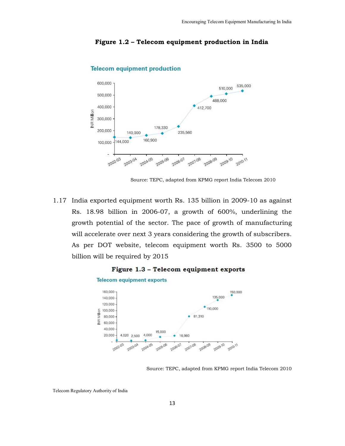

**Telecom equipment production** 

### **Figure 1.2 – Telecom equipment production in India**

Source: TEPC, adapted from KPMG report India Telecom 2010

1.17 India exported equipment worth Rs. 135 billion in 2009-10 as against Rs. 18.98 billion in 2006-07, a growth of 600%, underlining the growth potential of the sector. The pace of growth of manufacturing will accelerate over next 3 years considering the growth of subscribers. As per DOT website, telecom equipment worth Rs. 3500 to 5000 billion will be required by 2015



#### **Telecom equipment exports**



Source: TEPC, adapted from KPMG report India Telecom 2010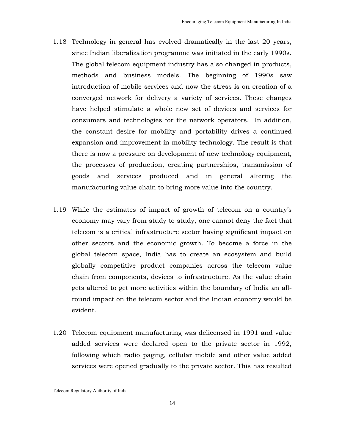- 1.18 Technology in general has evolved dramatically in the last 20 years, since Indian liberalization programme was initiated in the early 1990s. The global telecom equipment industry has also changed in products, methods and business models. The beginning of 1990s saw introduction of mobile services and now the stress is on creation of a converged network for delivery a variety of services. These changes have helped stimulate a whole new set of devices and services for consumers and technologies for the network operators. In addition, the constant desire for mobility and portability drives a continued expansion and improvement in mobility technology. The result is that there is now a pressure on development of new technology equipment, the processes of production, creating partnerships, transmission of goods and services produced and in general altering the manufacturing value chain to bring more value into the country.
- 1.19 While the estimates of impact of growth of telecom on a country's economy may vary from study to study, one cannot deny the fact that telecom is a critical infrastructure sector having significant impact on other sectors and the economic growth. To become a force in the global telecom space, India has to create an ecosystem and build globally competitive product companies across the telecom value chain from components, devices to infrastructure. As the value chain gets altered to get more activities within the boundary of India an allround impact on the telecom sector and the Indian economy would be evident.
- 1.20 Telecom equipment manufacturing was delicensed in 1991 and value added services were declared open to the private sector in 1992, following which radio paging, cellular mobile and other value added services were opened gradually to the private sector. This has resulted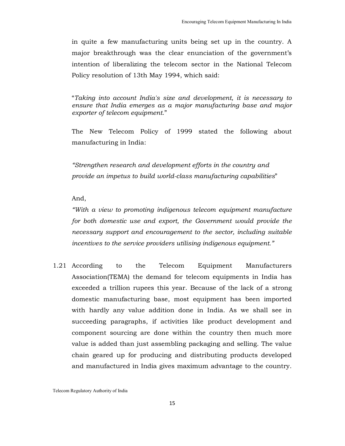in quite a few manufacturing units being set up in the country. A major breakthrough was the clear enunciation of the government's intention of liberalizing the telecom sector in the National Telecom Policy resolution of 13th May 1994, which said:

"*Taking into account India's size and development, it is necessary to ensure that India emerges as a major manufacturing base and major exporter of telecom equipment*."

The New Telecom Policy of 1999 stated the following about manufacturing in India:

*"Strengthen research and development efforts in the country and provide an impetus to build world-class manufacturing capabilities*"

And,

*"With a view to promoting indigenous telecom equipment manufacture for both domestic use and export, the Government would provide the necessary support and encouragement to the sector, including suitable incentives to the service providers utilising indigenous equipment."* 

1.21 According to the Telecom Equipment Manufacturers Association(TEMA) the demand for telecom equipments in India has exceeded a trillion rupees this year. Because of the lack of a strong domestic manufacturing base, most equipment has been imported with hardly any value addition done in India. As we shall see in succeeding paragraphs, if activities like product development and component sourcing are done within the country then much more value is added than just assembling packaging and selling. The value chain geared up for producing and distributing products developed and manufactured in India gives maximum advantage to the country.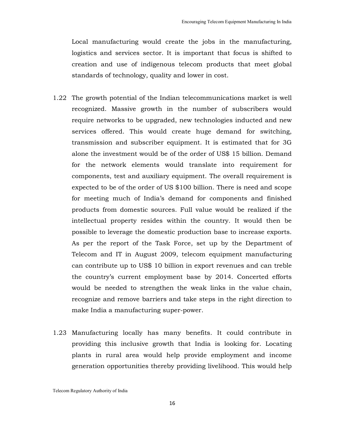Local manufacturing would create the jobs in the manufacturing, logistics and services sector. It is important that focus is shifted to creation and use of indigenous telecom products that meet global standards of technology, quality and lower in cost.

- 1.22 The growth potential of the Indian telecommunications market is well recognized. Massive growth in the number of subscribers would require networks to be upgraded, new technologies inducted and new services offered. This would create huge demand for switching, transmission and subscriber equipment. It is estimated that for 3G alone the investment would be of the order of US\$ 15 billion. Demand for the network elements would translate into requirement for components, test and auxiliary equipment. The overall requirement is expected to be of the order of US \$100 billion. There is need and scope for meeting much of India's demand for components and finished products from domestic sources. Full value would be realized if the intellectual property resides within the country. It would then be possible to leverage the domestic production base to increase exports. As per the report of the Task Force, set up by the Department of Telecom and IT in August 2009, telecom equipment manufacturing can contribute up to US\$ 10 billion in export revenues and can treble the country's current employment base by 2014. Concerted efforts would be needed to strengthen the weak links in the value chain, recognize and remove barriers and take steps in the right direction to make India a manufacturing super-power.
- 1.23 Manufacturing locally has many benefits. It could contribute in providing this inclusive growth that India is looking for. Locating plants in rural area would help provide employment and income generation opportunities thereby providing livelihood. This would help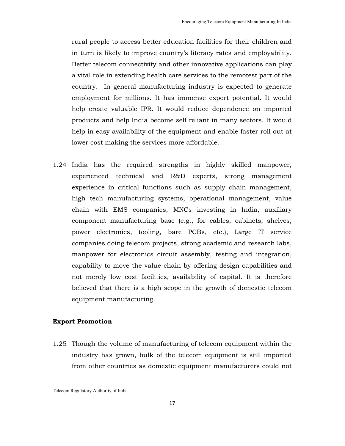rural people to access better education facilities for their children and in turn is likely to improve country's literacy rates and employability. Better telecom connectivity and other innovative applications can play a vital role in extending health care services to the remotest part of the country. In general manufacturing industry is expected to generate employment for millions. It has immense export potential. It would help create valuable IPR. It would reduce dependence on imported products and help India become self reliant in many sectors. It would help in easy availability of the equipment and enable faster roll out at lower cost making the services more affordable.

1.24 India has the required strengths in highly skilled manpower, experienced technical and R&D experts, strong management experience in critical functions such as supply chain management, high tech manufacturing systems, operational management, value chain with EMS companies, MNCs investing in India, auxiliary component manufacturing base (e.g., for cables, cabinets, shelves, power electronics, tooling, bare PCBs, etc.), Large IT service companies doing telecom projects, strong academic and research labs, manpower for electronics circuit assembly, testing and integration, capability to move the value chain by offering design capabilities and not merely low cost facilities, availability of capital. It is therefore believed that there is a high scope in the growth of domestic telecom equipment manufacturing.

#### **Export Promotion**

1.25 Though the volume of manufacturing of telecom equipment within the industry has grown, bulk of the telecom equipment is still imported from other countries as domestic equipment manufacturers could not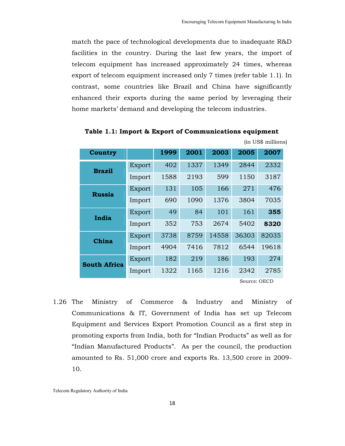match the pace of technological developments due to inadequate R&D facilities in the country. During the last few years, the import of telecom equipment has increased approximately 24 times, whereas export of telecom equipment increased only 7 times (refer table 1.1). In contrast, some countries like Brazil and China have significantly enhanced their exports during the same period by leveraging their home markets' demand and developing the telecom industries.

| Country             |        | 1999 | 2001 | 2003  | 2005  | 2007  |
|---------------------|--------|------|------|-------|-------|-------|
| <b>Brazil</b>       | Export | 402  | 1337 | 1349  | 2844  | 2332  |
|                     | Import | 1588 | 2193 | 599   | 1150  | 3187  |
| <b>Russia</b>       | Export | 131  | 105  | 166   | 271   | 476   |
|                     | Import | 690  | 1090 | 1376  | 3804  | 7035  |
| India               | Export | 49   | 84   | 101   | 161   | 355   |
|                     | Import | 352  | 753  | 2674  | 5402  | 8320  |
| China               | Export | 3738 | 8759 | 14558 | 36303 | 82035 |
|                     | Import | 4904 | 7416 | 7812  | 6544  | 19618 |
| <b>South Africa</b> | Export | 182  | 219  | 186   | 193   | 274   |
|                     | Import | 1322 | 1165 | 1216  | 2342  | 2785  |

 **Table 1.1: Import & Export of Communications equipment** 

Source: OECD

(in US\$ millions)

1.26 The Ministry of Commerce & Industry and Ministry of Communications & IT, Government of India has set up Telecom Equipment and Services Export Promotion Council as a first step in promoting exports from India, both for "Indian Products" as well as for "Indian Manufactured Products". As per the council, the production amounted to Rs. 51,000 crore and exports Rs. 13,500 crore in 2009- 10.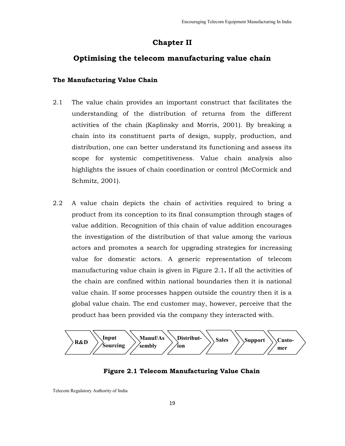# **Chapter II**

# **Optimising the telecom manufacturing value chain**

## **The Manufacturing Value Chain**

- 2.1 The value chain provides an important construct that facilitates the understanding of the distribution of returns from the different activities of the chain (Kaplinsky and Morris, 2001). By breaking a chain into its constituent parts of design, supply, production, and distribution, one can better understand its functioning and assess its scope for systemic competitiveness. Value chain analysis also highlights the issues of chain coordination or control (McCormick and Schmitz, 2001).
- 2.2 A value chain depicts the chain of activities required to bring a product from its conception to its final consumption through stages of value addition. Recognition of this chain of value addition encourages the investigation of the distribution of that value among the various actors and promotes a search for upgrading strategies for increasing value for domestic actors. A generic representation of telecom manufacturing value chain is given in Figure 2.1**.** If all the activities of the chain are confined within national boundaries then it is national value chain. If some processes happen outside the country then it is a global value chain. The end customer may, however, perceive that the product has been provided via the company they interacted with.



# **Figure 2.1 Telecom Manufacturing Value Chain**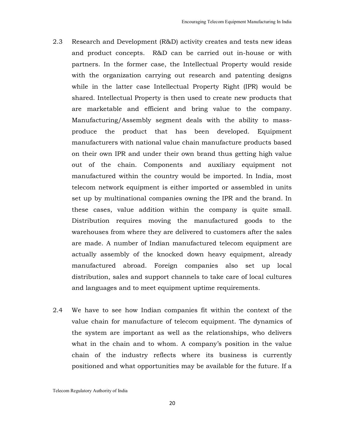- 2.3 Research and Development (R&D) activity creates and tests new ideas and product concepts. R&D can be carried out in-house or with partners. In the former case, the Intellectual Property would reside with the organization carrying out research and patenting designs while in the latter case Intellectual Property Right (IPR) would be shared. Intellectual Property is then used to create new products that are marketable and efficient and bring value to the company. Manufacturing/Assembly segment deals with the ability to massproduce the product that has been developed. Equipment manufacturers with national value chain manufacture products based on their own IPR and under their own brand thus getting high value out of the chain. Components and auxiliary equipment not manufactured within the country would be imported. In India, most telecom network equipment is either imported or assembled in units set up by multinational companies owning the IPR and the brand. In these cases, value addition within the company is quite small. Distribution requires moving the manufactured goods to the warehouses from where they are delivered to customers after the sales are made. A number of Indian manufactured telecom equipment are actually assembly of the knocked down heavy equipment, already manufactured abroad. Foreign companies also set up local distribution, sales and support channels to take care of local cultures and languages and to meet equipment uptime requirements.
- 2.4 We have to see how Indian companies fit within the context of the value chain for manufacture of telecom equipment. The dynamics of the system are important as well as the relationships, who delivers what in the chain and to whom. A company's position in the value chain of the industry reflects where its business is currently positioned and what opportunities may be available for the future. If a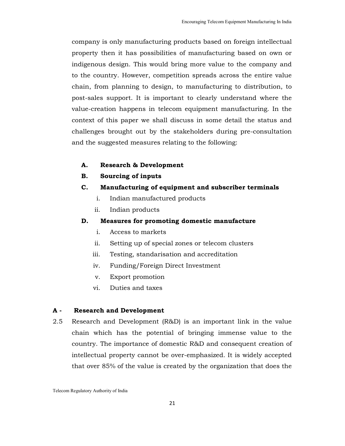company is only manufacturing products based on foreign intellectual property then it has possibilities of manufacturing based on own or indigenous design. This would bring more value to the company and to the country. However, competition spreads across the entire value chain, from planning to design, to manufacturing to distribution, to post-sales support. It is important to clearly understand where the value-creation happens in telecom equipment manufacturing. In the context of this paper we shall discuss in some detail the status and challenges brought out by the stakeholders during pre-consultation and the suggested measures relating to the following:

- **A. Research & Development**
- **B. Sourcing of inputs**
- **C. Manufacturing of equipment and subscriber terminals**
	- i. Indian manufactured products
	- ii. Indian products

### **D. Measures for promoting domestic manufacture**

- i. Access to markets
- ii. Setting up of special zones or telecom clusters
- iii. Testing, standarisation and accreditation
- iv. Funding/Foreign Direct Investment
- v. Export promotion
- vi. Duties and taxes

### **A - Research and Development**

2.5 Research and Development (R&D) is an important link in the value chain which has the potential of bringing immense value to the country. The importance of domestic R&D and consequent creation of intellectual property cannot be over-emphasized. It is widely accepted that over 85% of the value is created by the organization that does the

Telecom Regulatory Authority of India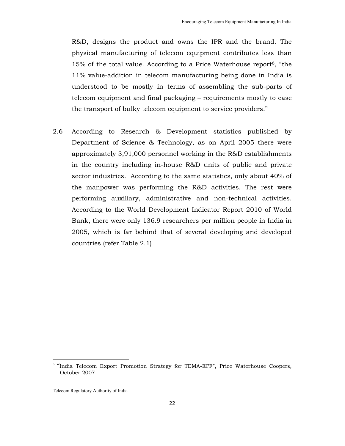R&D, designs the product and owns the IPR and the brand. The physical manufacturing of telecom equipment contributes less than 15% of the total value. According to a Price Waterhouse report<sup>6</sup>, "the 11% value-addition in telecom manufacturing being done in India is understood to be mostly in terms of assembling the sub-parts of telecom equipment and final packaging – requirements mostly to ease the transport of bulky telecom equipment to service providers."

2.6 According to Research & Development statistics published by Department of Science & Technology, as on April 2005 there were approximately 3,91,000 personnel working in the R&D establishments in the country including in-house R&D units of public and private sector industries. According to the same statistics, only about 40% of the manpower was performing the R&D activities. The rest were performing auxiliary, administrative and non-technical activities. According to the World Development Indicator Report 2010 of World Bank, there were only 136.9 researchers per million people in India in 2005, which is far behind that of several developing and developed countries (refer Table 2.1)

<u>.</u>

<sup>&</sup>lt;sup>6</sup> "India Telecom Export Promotion Strategy for TEMA-EPF", Price Waterhouse Coopers, October 2007

Telecom Regulatory Authority of India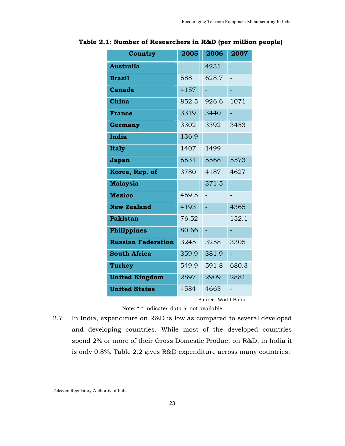| <b>Country</b>            | 2005  | 2006  | 2007  |  |
|---------------------------|-------|-------|-------|--|
| <b>Australia</b>          |       | 4231  |       |  |
| <b>Brazil</b>             | 588   | 628.7 |       |  |
| Canada                    | 4157  |       |       |  |
| China                     | 852.5 | 926.6 | 1071  |  |
| <b>France</b>             | 3319  | 3440  |       |  |
| Germany                   | 3302  | 3392  | 3453  |  |
| India                     | 136.9 |       |       |  |
| <b>Italy</b>              | 1407  | 1499  |       |  |
| Japan                     | 5531  | 5568  | 5573  |  |
| Korea, Rep. of            | 3780  | 4187  | 4627  |  |
| <b>Malaysia</b>           |       | 371.5 |       |  |
| <b>Mexico</b>             | 459.5 |       |       |  |
| <b>New Zealand</b>        | 4193  |       | 4365  |  |
| <b>Pakistan</b>           | 76.52 |       | 152.1 |  |
| <b>Philippines</b>        | 80.66 |       |       |  |
| <b>Russian Federation</b> | 3245  | 3258  | 3305  |  |
| <b>South Africa</b>       | 359.9 | 381.9 |       |  |
| <b>Turkey</b>             | 549.9 | 591.8 | 680.3 |  |
| <b>United Kingdom</b>     | 2897  | 2909  | 2881  |  |
| <b>United States</b>      | 4584  | 4663  |       |  |
| Source: World Bank        |       |       |       |  |

#### **Table 2.1: Number of Researchers in R&D (per million people)**

Note: "-" indicates data is not available

2.7 In India, expenditure on R&D is low as compared to several developed and developing countries. While most of the developed countries spend 2% or more of their Gross Domestic Product on R&D, in India it is only 0.8%. Table 2.2 gives R&D expenditure across many countries: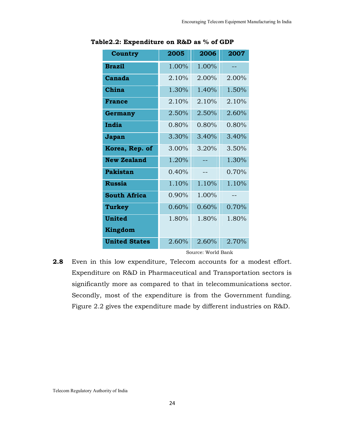| Country              | 2005     | 2006  | 2007     |
|----------------------|----------|-------|----------|
| <b>Brazil</b>        | 1.00%    | 1.00% |          |
| Canada               | 2.10%    | 2.00% | 2.00%    |
| China                | 1.30%    | 1.40% | 1.50%    |
| <b>France</b>        | 2.10%    | 2.10% | 2.10%    |
| Germany              | 2.50%    | 2.50% | 2.60%    |
| India                | 0.80%    | 0.80% | $0.80\%$ |
| Japan                | 3.30%    | 3.40% | 3.40%    |
| Korea, Rep. of       | $3.00\%$ | 3.20% | 3.50%    |
| <b>New Zealand</b>   | 1.20%    |       | 1.30%    |
| Pakistan             | 0.40%    | --    | 0.70%    |
| <b>Russia</b>        | 1.10%    | 1.10% | 1.10%    |
| <b>South Africa</b>  | 0.90%    | 1.00% | --       |
| Turkey               | 0.60%    | 0.60% | 0.70%    |
| <b>United</b>        | 1.80%    | 1.80% | 1.80%    |
| <b>Kingdom</b>       |          |       |          |
| <b>United States</b> | 2.60%    | 2.60% | 2.70%    |

**Table2.2: Expenditure on R&D as % of GDP** 

Source: World Bank

**2.8** Even in this low expenditure, Telecom accounts for a modest effort. Expenditure on R&D in Pharmaceutical and Transportation sectors is significantly more as compared to that in telecommunications sector. Secondly, most of the expenditure is from the Government funding. Figure 2.2 gives the expenditure made by different industries on R&D.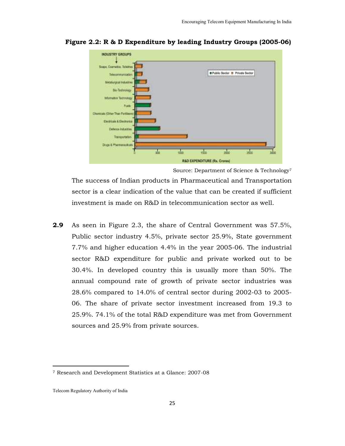

**Figure 2.2: R & D Expenditure by leading Industry Groups (2005-06)** 

Source: Department of Science & Technology<sup>7</sup>

The success of Indian products in Pharmaceutical and Transportation sector is a clear indication of the value that can be created if sufficient investment is made on R&D in telecommunication sector as well.

**2.9** As seen in Figure 2.3, the share of Central Government was 57.5%, Public sector industry 4.5%, private sector 25.9%, State government 7.7% and higher education 4.4% in the year 2005-06. The industrial sector R&D expenditure for public and private worked out to be 30.4%. In developed country this is usually more than 50%. The annual compound rate of growth of private sector industries was 28.6% compared to 14.0% of central sector during 2002-03 to 2005- 06. The share of private sector investment increased from 19.3 to 25.9%. 74.1% of the total R&D expenditure was met from Government sources and 25.9% from private sources.

l,

<sup>7</sup> Research and Development Statistics at a Glance: 2007-08

Telecom Regulatory Authority of India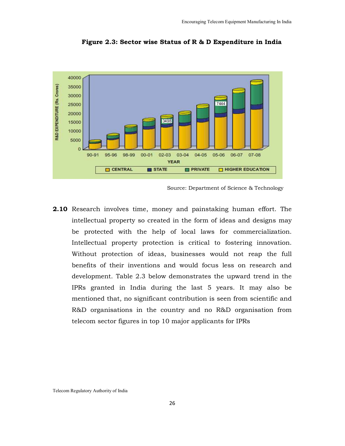

**Figure 2.3: Sector wise Status of R & D Expenditure in India** 

**2.10** Research involves time, money and painstaking human effort. The intellectual property so created in the form of ideas and designs may be protected with the help of local laws for commercialization. Intellectual property protection is critical to fostering innovation. Without protection of ideas, businesses would not reap the full benefits of their inventions and would focus less on research and development. Table 2.3 below demonstrates the upward trend in the IPRs granted in India during the last 5 years. It may also be mentioned that, no significant contribution is seen from scientific and R&D organisations in the country and no R&D organisation from telecom sector figures in top 10 major applicants for IPRs

Source: Department of Science & Technology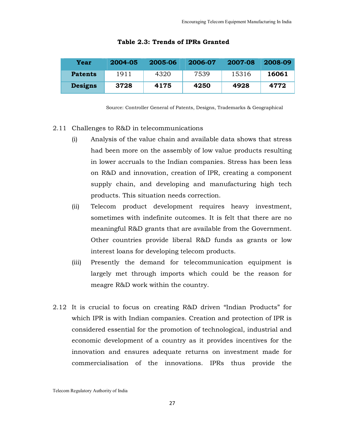| Year           | $2004 - 05$ | 2005-06 | 2006-07 | 2007-08 | 2008-09 |
|----------------|-------------|---------|---------|---------|---------|
| <b>Patents</b> | 1911        | 4320    | 7539    | 15316   | 16061   |
| <b>Designs</b> | 3728        | 4175    | 4250    | 4928    | 4772    |

#### **Table 2.3: Trends of IPRs Granted**

Source: Controller General of Patents, Designs, Trademarks & Geographical

#### 2.11 Challenges to R&D in telecommunications

- (i) Analysis of the value chain and available data shows that stress had been more on the assembly of low value products resulting in lower accruals to the Indian companies. Stress has been less on R&D and innovation, creation of IPR, creating a component supply chain, and developing and manufacturing high tech products. This situation needs correction.
- (ii) Telecom product development requires heavy investment, sometimes with indefinite outcomes. It is felt that there are no meaningful R&D grants that are available from the Government. Other countries provide liberal R&D funds as grants or low interest loans for developing telecom products.
- (iii) Presently the demand for telecommunication equipment is largely met through imports which could be the reason for meagre R&D work within the country.
- 2.12 It is crucial to focus on creating R&D driven "Indian Products" for which IPR is with Indian companies. Creation and protection of IPR is considered essential for the promotion of technological, industrial and economic development of a country as it provides incentives for the innovation and ensures adequate returns on investment made for commercialisation of the innovations. IPRs thus provide the

Telecom Regulatory Authority of India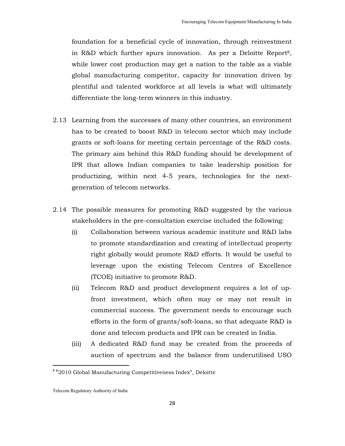foundation for a beneficial cycle of innovation, through reinvestment in R&D which further spurs innovation. As per a Deloitte Report<sup>8</sup>, while lower cost production may get a nation to the table as a viable global manufacturing competitor, capacity for innovation driven by plentiful and talented workforce at all levels is what will ultimately differentiate the long-term winners in this industry.

- 2.13 Learning from the successes of many other countries, an environment has to be created to boost R&D in telecom sector which may include grants or soft-loans for meeting certain percentage of the R&D costs. The primary aim behind this R&D funding should be development of IPR that allows Indian companies to take leadership position for productizing, within next 4-5 years, technologies for the nextgeneration of telecom networks.
- 2.14 The possible measures for promoting R&D suggested by the various stakeholders in the pre-consultation exercise included the following:
	- (i) Collaboration between various academic institute and R&D labs to promote standardization and creating of intellectual property right globally would promote R&D efforts. It would be useful to leverage upon the existing Telecom Centres of Excellence (TCOE) initiative to promote R&D.
	- (ii) Telecom R&D and product development requires a lot of upfront investment, which often may or may not result in commercial success. The government needs to encourage such efforts in the form of grants/soft-loans, so that adequate R&D is done and telecom products and IPR can be created in India.
	- (iii) A dedicated R&D fund may be created from the proceeds of auction of spectrum and the balance from underutilised USO

 $\overline{a}$ 

<sup>&</sup>lt;sup>8</sup> "2010 Global Manufacturing Competitiveness Index", Deloitte

Telecom Regulatory Authority of India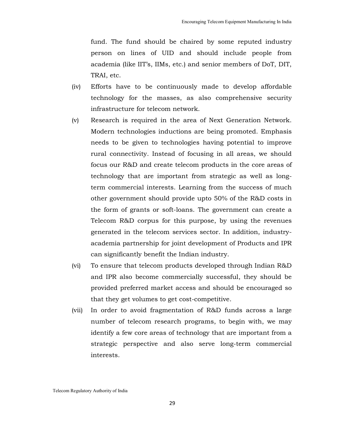fund. The fund should be chaired by some reputed industry person on lines of UID and should include people from academia (like IIT's, IIMs, etc.) and senior members of DoT, DIT, TRAI, etc.

- (iv) Efforts have to be continuously made to develop affordable technology for the masses, as also comprehensive security infrastructure for telecom network.
- (v) Research is required in the area of Next Generation Network. Modern technologies inductions are being promoted. Emphasis needs to be given to technologies having potential to improve rural connectivity. Instead of focusing in all areas, we should focus our R&D and create telecom products in the core areas of technology that are important from strategic as well as longterm commercial interests. Learning from the success of much other government should provide upto 50% of the R&D costs in the form of grants or soft-loans. The government can create a Telecom R&D corpus for this purpose, by using the revenues generated in the telecom services sector. In addition, industryacademia partnership for joint development of Products and IPR can significantly benefit the Indian industry.
- (vi) To ensure that telecom products developed through Indian R&D and IPR also become commercially successful, they should be provided preferred market access and should be encouraged so that they get volumes to get cost-competitive.
- (vii) In order to avoid fragmentation of R&D funds across a large number of telecom research programs, to begin with, we may identify a few core areas of technology that are important from a strategic perspective and also serve long-term commercial interests.

Telecom Regulatory Authority of India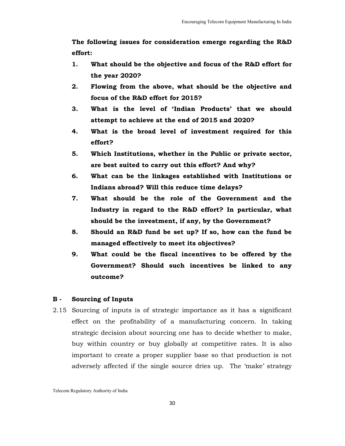**The following issues for consideration emerge regarding the R&D effort:** 

- **1. What should be the objective and focus of the R&D effort for the year 2020?**
- **2. Flowing from the above, what should be the objective and focus of the R&D effort for 2015?**
- **3. What is the level of 'Indian Products' that we should attempt to achieve at the end of 2015 and 2020?**
- **4. What is the broad level of investment required for this effort?**
- **5. Which Institutions, whether in the Public or private sector, are best suited to carry out this effort? And why?**
- **6. What can be the linkages established with Institutions or Indians abroad? Will this reduce time delays?**
- **7. What should be the role of the Government and the Industry in regard to the R&D effort? In particular, what should be the investment, if any, by the Government?**
- **8. Should an R&D fund be set up? If so, how can the fund be managed effectively to meet its objectives?**
- **9. What could be the fiscal incentives to be offered by the Government? Should such incentives be linked to any outcome?**

# **B - Sourcing of Inputs**

2.15 Sourcing of inputs is of strategic importance as it has a significant effect on the profitability of a manufacturing concern. In taking strategic decision about sourcing one has to decide whether to make, buy within country or buy globally at competitive rates. It is also important to create a proper supplier base so that production is not adversely affected if the single source dries up. The 'make' strategy

Telecom Regulatory Authority of India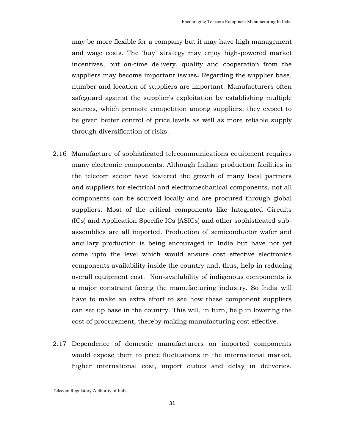may be more flexible for a company but it may have high management and wage costs. The 'buy' strategy may enjoy high-powered market incentives, but on-time delivery, quality and cooperation from the suppliers may become important issues**.** Regarding the supplier base, number and location of suppliers are important. Manufacturers often safeguard against the supplier's exploitation by establishing multiple sources, which promote competition among suppliers; they expect to be given better control of price levels as well as more reliable supply through diversification of risks.

- 2.16 Manufacture of sophisticated telecommunications equipment requires many electronic components. Although Indian production facilities in the telecom sector have fostered the growth of many local partners and suppliers for electrical and electromechanical components, not all components can be sourced locally and are procured through global suppliers. Most of the critical components like Integrated Circuits (ICs) and Application Specific ICs (ASICs) and other sophisticated subassemblies are all imported. Production of semiconductor wafer and ancillary production is being encouraged in India but have not yet come upto the level which would ensure cost effective electronics components availability inside the country and, thus, help in reducing overall equipment cost. Non-availability of indigenous components is a major constraint facing the manufacturing industry. So India will have to make an extra effort to see how these component suppliers can set up base in the country. This will, in turn, help in lowering the cost of procurement, thereby making manufacturing cost effective.
- 2.17 Dependence of domestic manufacturers on imported components would expose them to price fluctuations in the international market, higher international cost, import duties and delay in deliveries.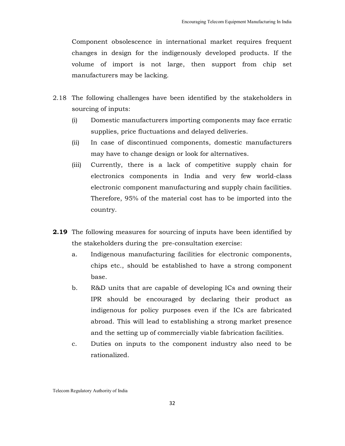Component obsolescence in international market requires frequent changes in design for the indigenously developed products. If the volume of import is not large, then support from chip set manufacturers may be lacking.

- 2.18 The following challenges have been identified by the stakeholders in sourcing of inputs:
	- (i) Domestic manufacturers importing components may face erratic supplies, price fluctuations and delayed deliveries.
	- (ii) In case of discontinued components, domestic manufacturers may have to change design or look for alternatives.
	- (iii) Currently, there is a lack of competitive supply chain for electronics components in India and very few world-class electronic component manufacturing and supply chain facilities. Therefore, 95% of the material cost has to be imported into the country.
- **2.19** The following measures for sourcing of inputs have been identified by the stakeholders during the pre-consultation exercise:
	- a. Indigenous manufacturing facilities for electronic components, chips etc., should be established to have a strong component base.
	- b. R&D units that are capable of developing ICs and owning their IPR should be encouraged by declaring their product as indigenous for policy purposes even if the ICs are fabricated abroad. This will lead to establishing a strong market presence and the setting up of commercially viable fabrication facilities.
	- c. Duties on inputs to the component industry also need to be rationalized.

Telecom Regulatory Authority of India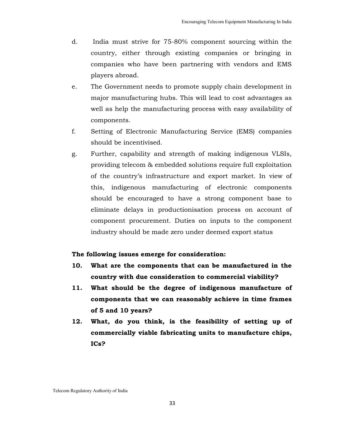- d. India must strive for 75-80% component sourcing within the country, either through existing companies or bringing in companies who have been partnering with vendors and EMS players abroad.
- e. The Government needs to promote supply chain development in major manufacturing hubs. This will lead to cost advantages as well as help the manufacturing process with easy availability of components.
- f. Setting of Electronic Manufacturing Service (EMS) companies should be incentivised.
- g. Further, capability and strength of making indigenous VLSIs, providing telecom & embedded solutions require full exploitation of the country's infrastructure and export market. In view of this, indigenous manufacturing of electronic components should be encouraged to have a strong component base to eliminate delays in productionisation process on account of component procurement. Duties on inputs to the component industry should be made zero under deemed export status

### **The following issues emerge for consideration:**

- **10. What are the components that can be manufactured in the country with due consideration to commercial viability?**
- **11. What should be the degree of indigenous manufacture of components that we can reasonably achieve in time frames of 5 and 10 years?**
- **12. What, do you think, is the feasibility of setting up of commercially viable fabricating units to manufacture chips, ICs?**

Telecom Regulatory Authority of India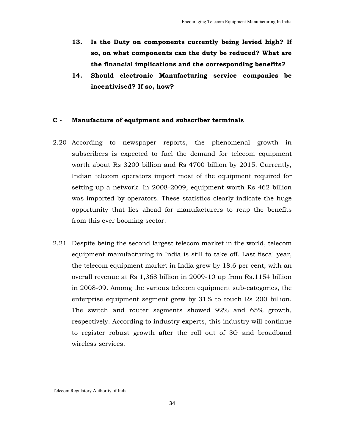- **13. Is the Duty on components currently being levied high? If so, on what components can the duty be reduced? What are the financial implications and the corresponding benefits?**
- **14. Should electronic Manufacturing service companies be incentivised? If so, how?**

#### **C - Manufacture of equipment and subscriber terminals**

- 2.20 According to newspaper reports, the phenomenal growth in subscribers is expected to fuel the demand for telecom equipment worth about Rs 3200 billion and Rs 4700 billion by 2015. Currently, Indian telecom operators import most of the equipment required for setting up a network. In 2008-2009, equipment worth Rs 462 billion was imported by operators. These statistics clearly indicate the huge opportunity that lies ahead for manufacturers to reap the benefits from this ever booming sector.
- 2.21 Despite being the second largest telecom market in the world, telecom equipment manufacturing in India is still to take off. Last fiscal year, the telecom equipment market in India grew by 18.6 per cent, with an overall revenue at Rs 1,368 billion in 2009-10 up from Rs.1154 billion in 2008-09. Among the various telecom equipment sub-categories, the enterprise equipment segment grew by 31% to touch Rs 200 billion. The switch and router segments showed 92% and 65% growth, respectively. According to industry experts, this industry will continue to register robust growth after the roll out of 3G and broadband wireless services.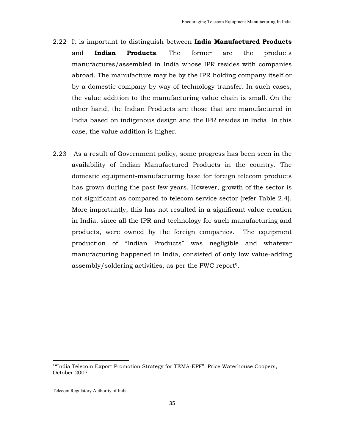- 2.22 It is important to distinguish between **India Manufactured Products** and **Indian Products**. The former are the products manufactures/assembled in India whose IPR resides with companies abroad. The manufacture may be by the IPR holding company itself or by a domestic company by way of technology transfer. In such cases, the value addition to the manufacturing value chain is small. On the other hand, the Indian Products are those that are manufactured in India based on indigenous design and the IPR resides in India. In this case, the value addition is higher.
- 2.23 As a result of Government policy, some progress has been seen in the availability of Indian Manufactured Products in the country. The domestic equipment-manufacturing base for foreign telecom products has grown during the past few years. However, growth of the sector is not significant as compared to telecom service sector (refer Table 2.4). More importantly, this has not resulted in a significant value creation in India, since all the IPR and technology for such manufacturing and products, were owned by the foreign companies. The equipment production of "Indian Products" was negligible and whatever manufacturing happened in India, consisted of only low value-adding assembly/soldering activities, as per the PWC report <sup>9</sup>.

<u>.</u>

<sup>&</sup>lt;sup>9</sup> "India Telecom Export Promotion Strategy for TEMA-EPF", Price Waterhouse Coopers, October 2007

Telecom Regulatory Authority of India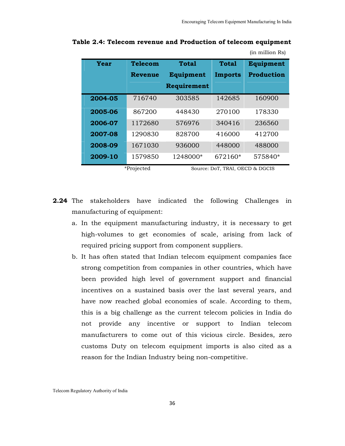(in million Rs)

| Year    | Telecom | Total       | Total          | Equipment         |
|---------|---------|-------------|----------------|-------------------|
|         | Revenue | Equipment   | <b>Imports</b> | <b>Production</b> |
|         |         | Requirement |                |                   |
| 2004-05 | 716740  | 303585      | 142685         | 160900            |
| 2005-06 | 867200  | 448430      | 270100         | 178330            |
| 2006-07 | 1172680 | 576976      | 340416         | 236560            |
| 2007-08 | 1290830 | 828700      | 416000         | 412700            |
| 2008-09 | 1671030 | 936000      | 448000         | 488000            |
| 2009-10 | 1579850 | 1248000*    | 672160*        | 575840*           |

**Table 2.4: Telecom revenue and Production of telecom equipment** 

\*Projected Source: DoT, TRAI, OECD & DGCIS

- **2.24** The stakeholders have indicated the following Challenges in manufacturing of equipment:
	- a. In the equipment manufacturing industry, it is necessary to get high-volumes to get economies of scale, arising from lack of required pricing support from component suppliers.
	- b. It has often stated that Indian telecom equipment companies face strong competition from companies in other countries, which have been provided high level of government support and financial incentives on a sustained basis over the last several years, and have now reached global economies of scale. According to them, this is a big challenge as the current telecom policies in India do not provide any incentive or support to Indian telecom manufacturers to come out of this vicious circle. Besides, zero customs Duty on telecom equipment imports is also cited as a reason for the Indian Industry being non-competitive.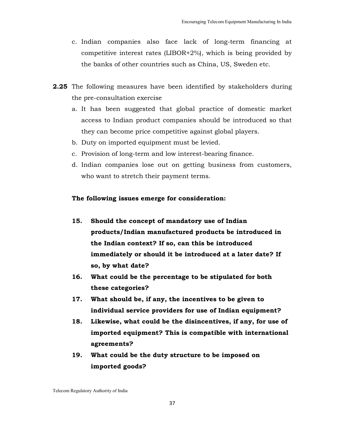- c. Indian companies also face lack of long-term financing at competitive interest rates (LIBOR+2%), which is being provided by the banks of other countries such as China, US, Sweden etc.
- **2.25** The following measures have been identified by stakeholders during the pre-consultation exercise
	- a. It has been suggested that global practice of domestic market access to Indian product companies should be introduced so that they can become price competitive against global players.
	- b. Duty on imported equipment must be levied.
	- c. Provision of long-term and low interest-bearing finance.
	- d. Indian companies lose out on getting business from customers, who want to stretch their payment terms.

#### **The following issues emerge for consideration:**

- **15. Should the concept of mandatory use of Indian products/Indian manufactured products be introduced in the Indian context? If so, can this be introduced immediately or should it be introduced at a later date? If so, by what date?**
- **16. What could be the percentage to be stipulated for both these categories?**
- **17. What should be, if any, the incentives to be given to individual service providers for use of Indian equipment?**
- **18. Likewise, what could be the disincentives, if any, for use of imported equipment? This is compatible with international agreements?**
- **19. What could be the duty structure to be imposed on imported goods?**

Telecom Regulatory Authority of India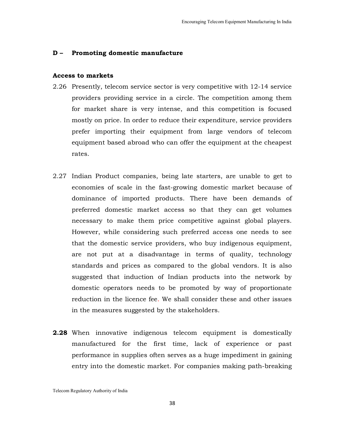#### **D – Promoting domestic manufacture**

#### **Access to markets**

- 2.26 Presently, telecom service sector is very competitive with 12-14 service providers providing service in a circle. The competition among them for market share is very intense, and this competition is focused mostly on price. In order to reduce their expenditure, service providers prefer importing their equipment from large vendors of telecom equipment based abroad who can offer the equipment at the cheapest rates.
- 2.27 Indian Product companies, being late starters, are unable to get to economies of scale in the fast-growing domestic market because of dominance of imported products. There have been demands of preferred domestic market access so that they can get volumes necessary to make them price competitive against global players. However, while considering such preferred access one needs to see that the domestic service providers, who buy indigenous equipment, are not put at a disadvantage in terms of quality, technology standards and prices as compared to the global vendors. It is also suggested that induction of Indian products into the network by domestic operators needs to be promoted by way of proportionate reduction in the licence fee. We shall consider these and other issues in the measures suggested by the stakeholders.
- **2.28** When innovative indigenous telecom equipment is domestically manufactured for the first time, lack of experience or past performance in supplies often serves as a huge impediment in gaining entry into the domestic market. For companies making path-breaking

Telecom Regulatory Authority of India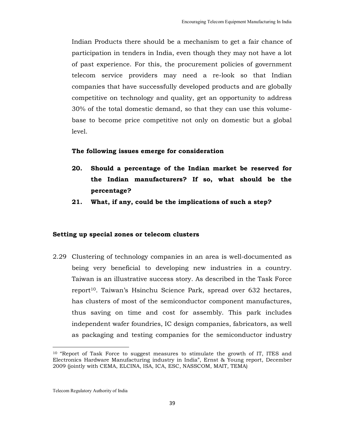Indian Products there should be a mechanism to get a fair chance of participation in tenders in India, even though they may not have a lot of past experience. For this, the procurement policies of government telecom service providers may need a re-look so that Indian companies that have successfully developed products and are globally competitive on technology and quality, get an opportunity to address 30% of the total domestic demand, so that they can use this volumebase to become price competitive not only on domestic but a global level.

#### **The following issues emerge for consideration**

- **20. Should a percentage of the Indian market be reserved for the Indian manufacturers? If so, what should be the percentage?**
- **21. What, if any, could be the implications of such a step?**

#### **Setting up special zones or telecom clusters**

2.29 Clustering of technology companies in an area is well-documented as being very beneficial to developing new industries in a country. Taiwan is an illustrative success story. As described in the Task Force report<sup>10</sup>. Taiwan's Hsinchu Science Park, spread over 632 hectares, has clusters of most of the semiconductor component manufactures, thus saving on time and cost for assembly. This park includes independent wafer foundries, IC design companies, fabricators, as well as packaging and testing companies for the semiconductor industry

 $\overline{a}$ 

<sup>10</sup> "Report of Task Force to suggest measures to stimulate the growth of IT, ITES and Electronics Hardware Manufacturing industry in India", Ernst & Young report, December 2009 (jointly with CEMA, ELCINA, ISA, ICA, ESC, NASSCOM, MAIT, TEMA)

Telecom Regulatory Authority of India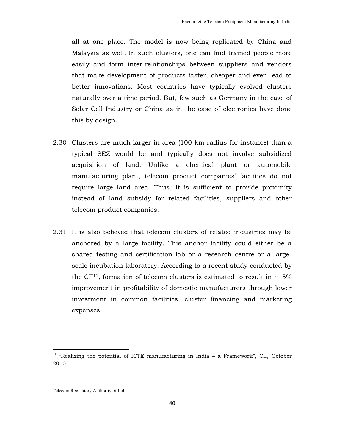all at one place. The model is now being replicated by China and Malaysia as well. In such clusters, one can find trained people more easily and form inter-relationships between suppliers and vendors that make development of products faster, cheaper and even lead to better innovations. Most countries have typically evolved clusters naturally over a time period. But, few such as Germany in the case of Solar Cell Industry or China as in the case of electronics have done this by design.

- 2.30 Clusters are much larger in area (100 km radius for instance) than a typical SEZ would be and typically does not involve subsidized acquisition of land. Unlike a chemical plant or automobile manufacturing plant, telecom product companies' facilities do not require large land area. Thus, it is sufficient to provide proximity instead of land subsidy for related facilities, suppliers and other telecom product companies.
- 2.31 It is also believed that telecom clusters of related industries may be anchored by a large facility. This anchor facility could either be a shared testing and certification lab or a research centre or a largescale incubation laboratory. According to a recent study conducted by the CII<sup>11</sup>, formation of telecom clusters is estimated to result in  $~15\%$ improvement in profitability of domestic manufacturers through lower investment in common facilities, cluster financing and marketing expenses.

l,

<sup>&</sup>lt;sup>11</sup> "Realizing the potential of ICTE manufacturing in India – a Framework", CII, October 2010

Telecom Regulatory Authority of India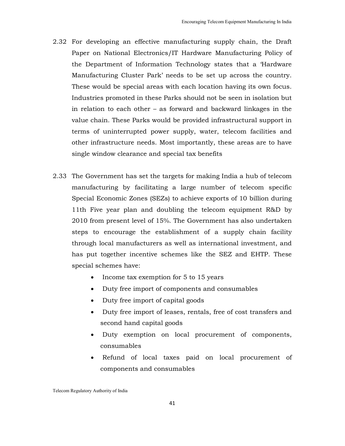- 2.32 For developing an effective manufacturing supply chain, the Draft Paper on National Electronics/IT Hardware Manufacturing Policy of the Department of Information Technology states that a 'Hardware Manufacturing Cluster Park' needs to be set up across the country. These would be special areas with each location having its own focus. Industries promoted in these Parks should not be seen in isolation but in relation to each other – as forward and backward linkages in the value chain. These Parks would be provided infrastructural support in terms of uninterrupted power supply, water, telecom facilities and other infrastructure needs. Most importantly, these areas are to have single window clearance and special tax benefits
- 2.33 The Government has set the targets for making India a hub of telecom manufacturing by facilitating a large number of telecom specific Special Economic Zones (SEZs) to achieve exports of 10 billion during 11th Five year plan and doubling the telecom equipment R&D by 2010 from present level of 15%. The Government has also undertaken steps to encourage the establishment of a supply chain facility through local manufacturers as well as international investment, and has put together incentive schemes like the SEZ and EHTP. These special schemes have:
	- Income tax exemption for 5 to 15 years
	- Duty free import of components and consumables
	- Duty free import of capital goods
	- Duty free import of leases, rentals, free of cost transfers and second hand capital goods
	- Duty exemption on local procurement of components, consumables
	- Refund of local taxes paid on local procurement of components and consumables

Telecom Regulatory Authority of India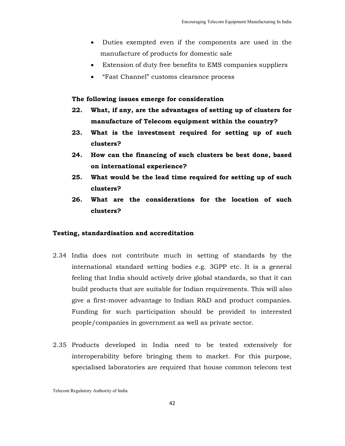- Duties exempted even if the components are used in the manufacture of products for domestic sale
- Extension of duty free benefits to EMS companies suppliers
- "Fast Channel" customs clearance process

#### **The following issues emerge for consideration**

- **22. What, if any, are the advantages of setting up of clusters for manufacture of Telecom equipment within the country?**
- **23. What is the investment required for setting up of such clusters?**
- **24. How can the financing of such clusters be best done, based on international experience?**
- **25. What would be the lead time required for setting up of such clusters?**
- **26. What are the considerations for the location of such clusters?**

#### **Testing, standardisation and accreditation**

- 2.34 India does not contribute much in setting of standards by the international standard setting bodies e.g. 3GPP etc. It is a general feeling that India should actively drive global standards, so that it can build products that are suitable for Indian requirements. This will also give a first-mover advantage to Indian R&D and product companies. Funding for such participation should be provided to interested people/companies in government as well as private sector.
- 2.35 Products developed in India need to be tested extensively for interoperability before bringing them to market. For this purpose, specialised laboratories are required that house common telecom test

Telecom Regulatory Authority of India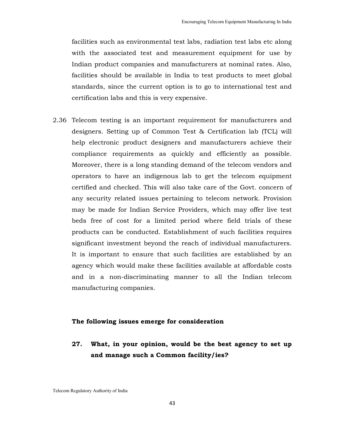facilities such as environmental test labs, radiation test labs etc along with the associated test and measurement equipment for use by Indian product companies and manufacturers at nominal rates. Also, facilities should be available in India to test products to meet global standards, since the current option is to go to international test and certification labs and this is very expensive.

2.36 Telecom testing is an important requirement for manufacturers and designers. Setting up of Common Test & Certification lab (TCL) will help electronic product designers and manufacturers achieve their compliance requirements as quickly and efficiently as possible. Moreover, there is a long standing demand of the telecom vendors and operators to have an indigenous lab to get the telecom equipment certified and checked. This will also take care of the Govt. concern of any security related issues pertaining to telecom network. Provision may be made for Indian Service Providers, which may offer live test beds free of cost for a limited period where field trials of these products can be conducted. Establishment of such facilities requires significant investment beyond the reach of individual manufacturers. It is important to ensure that such facilities are established by an agency which would make these facilities available at affordable costs and in a non-discriminating manner to all the Indian telecom manufacturing companies.

## **The following issues emerge for consideration**

**27. What, in your opinion, would be the best agency to set up and manage such a Common facility/ies?**

Telecom Regulatory Authority of India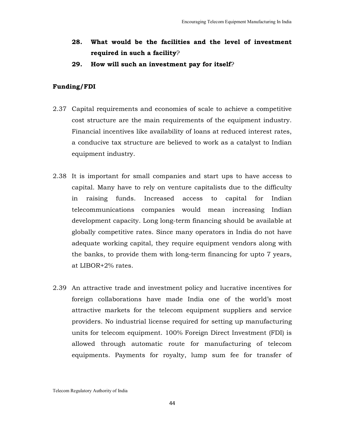- **28. What would be the facilities and the level of investment required in such a facility**?
- **29. How will such an investment pay for itself**?

### **Funding/FDI**

- 2.37 Capital requirements and economies of scale to achieve a competitive cost structure are the main requirements of the equipment industry. Financial incentives like availability of loans at reduced interest rates, a conducive tax structure are believed to work as a catalyst to Indian equipment industry.
- 2.38 It is important for small companies and start ups to have access to capital. Many have to rely on venture capitalists due to the difficulty in raising funds. Increased access to capital for Indian telecommunications companies would mean increasing Indian development capacity. Long long-term financing should be available at globally competitive rates. Since many operators in India do not have adequate working capital, they require equipment vendors along with the banks, to provide them with long-term financing for upto 7 years, at LIBOR+2% rates.
- 2.39 An attractive trade and investment policy and lucrative incentives for foreign collaborations have made India one of the world's most attractive markets for the telecom equipment suppliers and service providers. No industrial license required for setting up manufacturing units for telecom equipment. 100% Foreign Direct Investment (FDI) is allowed through automatic route for manufacturing of telecom equipments. Payments for royalty, lump sum fee for transfer of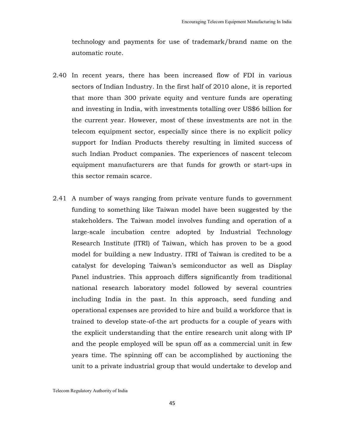technology and payments for use of trademark/brand name on the automatic route.

- 2.40 In recent years, there has been increased flow of FDI in various sectors of Indian Industry. In the first half of 2010 alone, it is reported that more than 300 private equity and venture funds are operating and investing in India, with investments totalling over US\$6 billion for the current year. However, most of these investments are not in the telecom equipment sector, especially since there is no explicit policy support for Indian Products thereby resulting in limited success of such Indian Product companies. The experiences of nascent telecom equipment manufacturers are that funds for growth or start-ups in this sector remain scarce.
- 2.41 A number of ways ranging from private venture funds to government funding to something like Taiwan model have been suggested by the stakeholders. The Taiwan model involves funding and operation of a large-scale incubation centre adopted by Industrial Technology Research Institute (ITRI) of Taiwan, which has proven to be a good model for building a new Industry. ITRI of Taiwan is credited to be a catalyst for developing Taiwan's semiconductor as well as Display Panel industries. This approach differs significantly from traditional national research laboratory model followed by several countries including India in the past. In this approach, seed funding and operational expenses are provided to hire and build a workforce that is trained to develop state-of-the art products for a couple of years with the explicit understanding that the entire research unit along with IP and the people employed will be spun off as a commercial unit in few years time. The spinning off can be accomplished by auctioning the unit to a private industrial group that would undertake to develop and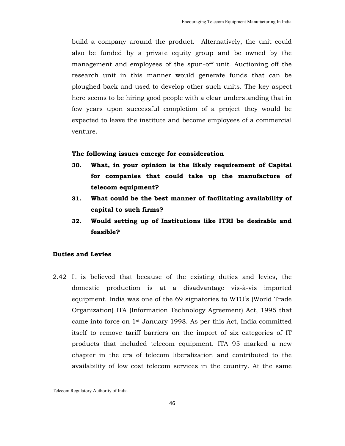build a company around the product. Alternatively, the unit could also be funded by a private equity group and be owned by the management and employees of the spun-off unit. Auctioning off the research unit in this manner would generate funds that can be ploughed back and used to develop other such units. The key aspect here seems to be hiring good people with a clear understanding that in few years upon successful completion of a project they would be expected to leave the institute and become employees of a commercial venture.

#### **The following issues emerge for consideration**

- **30. What, in your opinion is the likely requirement of Capital for companies that could take up the manufacture of telecom equipment?**
- **31. What could be the best manner of facilitating availability of capital to such firms?**
- **32. Would setting up of Institutions like ITRI be desirable and feasible?**

### **Duties and Levies**

2.42 It is believed that because of the existing duties and levies, the domestic production is at a disadvantage vis-à-vis imported equipment. India was one of the 69 signatories to WTO's (World Trade Organization) ITA (Information Technology Agreement) Act, 1995 that came into force on 1st January 1998. As per this Act, India committed itself to remove tariff barriers on the import of six categories of IT products that included telecom equipment. ITA 95 marked a new chapter in the era of telecom liberalization and contributed to the availability of low cost telecom services in the country. At the same

Telecom Regulatory Authority of India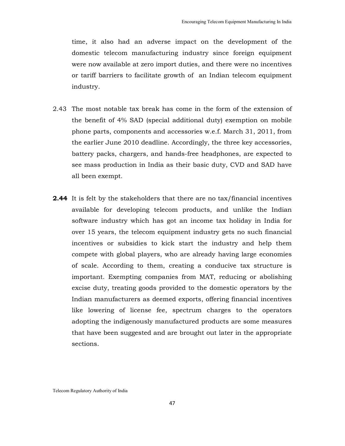time, it also had an adverse impact on the development of the domestic telecom manufacturing industry since foreign equipment were now available at zero import duties, and there were no incentives or tariff barriers to facilitate growth of an Indian telecom equipment industry.

- 2.43 The most notable tax break has come in the form of the extension of the benefit of 4% SAD (special additional duty) exemption on mobile phone parts, components and accessories w.e.f. March 31, 2011, from the earlier June 2010 deadline. Accordingly, the three key accessories, battery packs, chargers, and hands-free headphones, are expected to see mass production in India as their basic duty, CVD and SAD have all been exempt.
- **2.44** It is felt by the stakeholders that there are no tax/financial incentives available for developing telecom products, and unlike the Indian software industry which has got an income tax holiday in India for over 15 years, the telecom equipment industry gets no such financial incentives or subsidies to kick start the industry and help them compete with global players, who are already having large economies of scale. According to them, creating a conducive tax structure is important. Exempting companies from MAT, reducing or abolishing excise duty, treating goods provided to the domestic operators by the Indian manufacturers as deemed exports, offering financial incentives like lowering of license fee, spectrum charges to the operators adopting the indigenously manufactured products are some measures that have been suggested and are brought out later in the appropriate sections.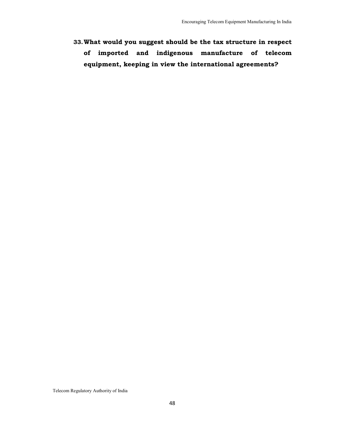**33.What would you suggest should be the tax structure in respect of imported and indigenous manufacture of telecom equipment, keeping in view the international agreements?**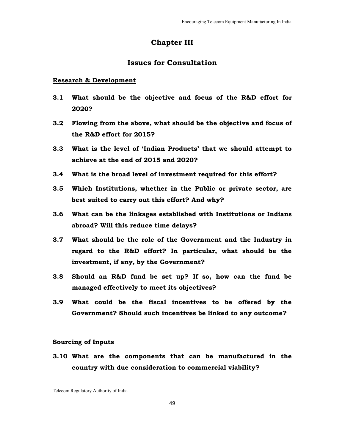# **Chapter III**

# **Issues for Consultation**

#### **Research & Development**

- **3.1 What should be the objective and focus of the R&D effort for 2020?**
- **3.2 Flowing from the above, what should be the objective and focus of the R&D effort for 2015?**
- **3.3 What is the level of 'Indian Products' that we should attempt to achieve at the end of 2015 and 2020?**
- **3.4 What is the broad level of investment required for this effort?**
- **3.5 Which Institutions, whether in the Public or private sector, are best suited to carry out this effort? And why?**
- **3.6 What can be the linkages established with Institutions or Indians abroad? Will this reduce time delays?**
- **3.7 What should be the role of the Government and the Industry in regard to the R&D effort? In particular, what should be the investment, if any, by the Government?**
- **3.8 Should an R&D fund be set up? If so, how can the fund be managed effectively to meet its objectives?**
- **3.9 What could be the fiscal incentives to be offered by the Government? Should such incentives be linked to any outcome?**

#### **Sourcing of Inputs**

**3.10 What are the components that can be manufactured in the country with due consideration to commercial viability?** 

Telecom Regulatory Authority of India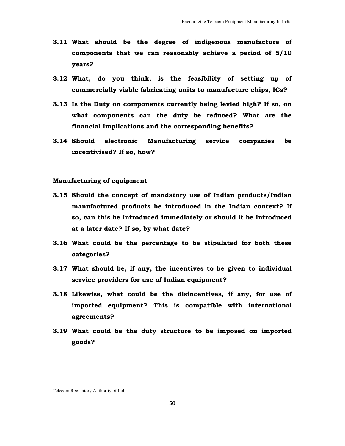- **3.11 What should be the degree of indigenous manufacture of components that we can reasonably achieve a period of 5/10 years?**
- **3.12 What, do you think, is the feasibility of setting up of commercially viable fabricating units to manufacture chips, ICs?**
- **3.13 Is the Duty on components currently being levied high? If so, on what components can the duty be reduced? What are the financial implications and the corresponding benefits?**
- **3.14 Should electronic Manufacturing service companies be incentivised? If so, how?**

## **Manufacturing of equipment**

- **3.15 Should the concept of mandatory use of Indian products/Indian manufactured products be introduced in the Indian context? If so, can this be introduced immediately or should it be introduced at a later date? If so, by what date?**
- **3.16 What could be the percentage to be stipulated for both these categories?**
- **3.17 What should be, if any, the incentives to be given to individual service providers for use of Indian equipment?**
- **3.18 Likewise, what could be the disincentives, if any, for use of imported equipment? This is compatible with international agreements?**
- **3.19 What could be the duty structure to be imposed on imported goods?**

Telecom Regulatory Authority of India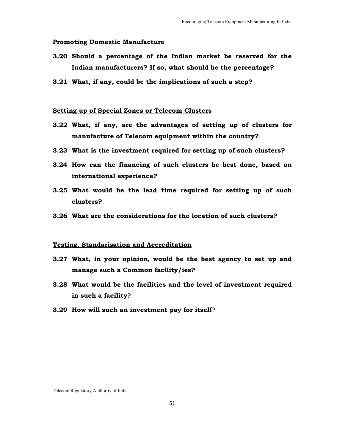#### **Promoting Domestic Manufacture**

- **3.20 Should a percentage of the Indian market be reserved for the Indian manufacturers? If so, what should be the percentage?**
- **3.21 What, if any, could be the implications of such a step?**

#### **Setting up of Special Zones or Telecom Clusters**

- **3.22 What, if any, are the advantages of setting up of clusters for manufacture of Telecom equipment within the country?**
- **3.23 What is the investment required for setting up of such clusters?**
- **3.24 How can the financing of such clusters be best done, based on international experience?**
- **3.25 What would be the lead time required for setting up of such clusters?**
- **3.26 What are the considerations for the location of such clusters?**

#### **Testing, Standarisation and Accreditation**

- **3.27 What, in your opinion, would be the best agency to set up and manage such a Common facility/ies?**
- **3.28 What would be the facilities and the level of investment required in such a facility**?
- **3.29 How will such an investment pay for itself**?

Telecom Regulatory Authority of India